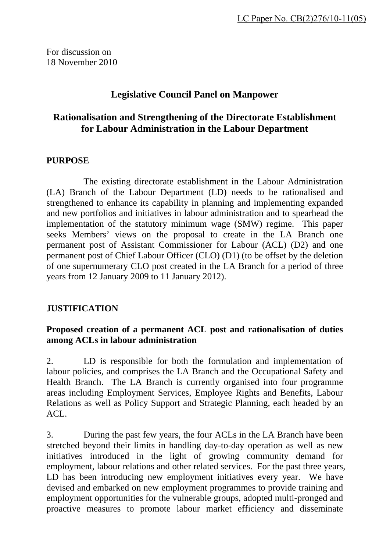For discussion on 18 November 2010

# **Legislative Council Panel on Manpower**

# **Rationalisation and Strengthening of the Directorate Establishment for Labour Administration in the Labour Department**

## **PURPOSE**

 The existing directorate establishment in the Labour Administration (LA) Branch of the Labour Department (LD) needs to be rationalised and strengthened to enhance its capability in planning and implementing expanded and new portfolios and initiatives in labour administration and to spearhead the implementation of the statutory minimum wage (SMW) regime. This paper seeks Members' views on the proposal to create in the LA Branch one permanent post of Assistant Commissioner for Labour (ACL) (D2) and one permanent post of Chief Labour Officer (CLO) (D1) (to be offset by the deletion of one supernumerary CLO post created in the LA Branch for a period of three years from 12 January 2009 to 11 January 2012).

# **JUSTIFICATION**

## **Proposed creation of a permanent ACL post and rationalisation of duties among ACLs in labour administration**

2. LD is responsible for both the formulation and implementation of labour policies, and comprises the LA Branch and the Occupational Safety and Health Branch. The LA Branch is currently organised into four programme areas including Employment Services, Employee Rights and Benefits, Labour Relations as well as Policy Support and Strategic Planning, each headed by an  $ACL$ .

3. During the past few years, the four ACLs in the LA Branch have been stretched beyond their limits in handling day-to-day operation as well as new initiatives introduced in the light of growing community demand for employment, labour relations and other related services. For the past three years, LD has been introducing new employment initiatives every year. We have devised and embarked on new employment programmes to provide training and employment opportunities for the vulnerable groups, adopted multi-pronged and proactive measures to promote labour market efficiency and disseminate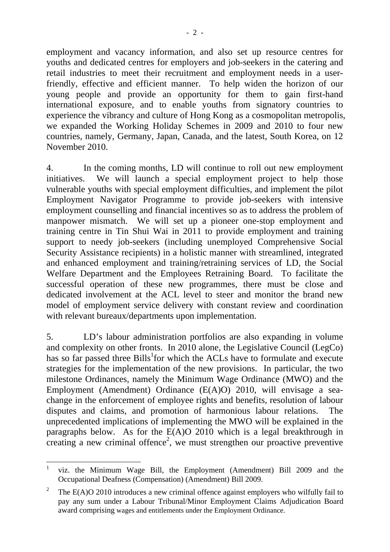employment and vacancy information, and also set up resource centres for youths and dedicated centres for employers and job-seekers in the catering and retail industries to meet their recruitment and employment needs in a userfriendly, effective and efficient manner. To help widen the horizon of our young people and provide an opportunity for them to gain first-hand international exposure, and to enable youths from signatory countries to experience the vibrancy and culture of Hong Kong as a cosmopolitan metropolis, we expanded the Working Holiday Schemes in 2009 and 2010 to four new countries, namely, Germany, Japan, Canada, and the latest, South Korea, on 12 November 2010.

4. In the coming months, LD will continue to roll out new employment initiatives. We will launch a special employment project to help those vulnerable youths with special employment difficulties, and implement the pilot Employment Navigator Programme to provide job-seekers with intensive employment counselling and financial incentives so as to address the problem of manpower mismatch. We will set up a pioneer one-stop employment and training centre in Tin Shui Wai in 2011 to provide employment and training support to needy job-seekers (including unemployed Comprehensive Social Security Assistance recipients) in a holistic manner with streamlined, integrated and enhanced employment and training/retraining services of LD, the Social Welfare Department and the Employees Retraining Board. To facilitate the successful operation of these new programmes, there must be close and dedicated involvement at the ACL level to steer and monitor the brand new model of employment service delivery with constant review and coordination with relevant bureaux/departments upon implementation.

5. LD's labour administration portfolios are also expanding in volume and complexity on other fronts. In 2010 alone, the Legislative Council (LegCo) has so far passed three Bills<sup>1</sup> for which the ACLs have to formulate and execute strategies for the implementation of the new provisions. In particular, the two milestone Ordinances, namely the Minimum Wage Ordinance (MWO) and the Employment (Amendment) Ordinance (E(A)O) 2010, will envisage a seachange in the enforcement of employee rights and benefits, resolution of labour disputes and claims, and promotion of harmonious labour relations. The unprecedented implications of implementing the MWO will be explained in the paragraphs below. As for the E(A)O 2010 which is a legal breakthrough in creating a new criminal offence<sup>2</sup>, we must strengthen our proactive preventive

<sup>1</sup> 1 viz. the Minimum Wage Bill, the Employment (Amendment) Bill 2009 and the Occupational Deafness (Compensation) (Amendment) Bill 2009.

<sup>2</sup> The E(A)O 2010 introduces a new criminal offence against employers who wilfully fail to pay any sum under a Labour Tribunal/Minor Employment Claims Adjudication Board award comprising wages and entitlements under the Employment Ordinance.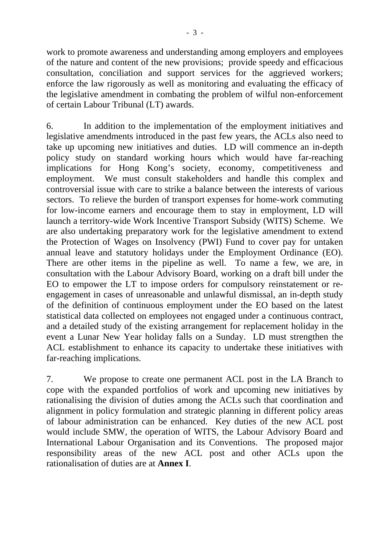work to promote awareness and understanding among employers and employees of the nature and content of the new provisions; provide speedy and efficacious consultation, conciliation and support services for the aggrieved workers; enforce the law rigorously as well as monitoring and evaluating the efficacy of the legislative amendment in combating the problem of wilful non-enforcement of certain Labour Tribunal (LT) awards.

6. In addition to the implementation of the employment initiatives and legislative amendments introduced in the past few years, the ACLs also need to take up upcoming new initiatives and duties. LD will commence an in-depth policy study on standard working hours which would have far-reaching implications for Hong Kong's society, economy, competitiveness and employment. We must consult stakeholders and handle this complex and controversial issue with care to strike a balance between the interests of various sectors. To relieve the burden of transport expenses for home-work commuting for low-income earners and encourage them to stay in employment, LD will launch a territory-wide Work Incentive Transport Subsidy (WITS) Scheme. We are also undertaking preparatory work for the legislative amendment to extend the Protection of Wages on Insolvency (PWI) Fund to cover pay for untaken annual leave and statutory holidays under the Employment Ordinance (EO). There are other items in the pipeline as well. To name a few, we are, in consultation with the Labour Advisory Board, working on a draft bill under the EO to empower the LT to impose orders for compulsory reinstatement or reengagement in cases of unreasonable and unlawful dismissal, an in-depth study of the definition of continuous employment under the EO based on the latest statistical data collected on employees not engaged under a continuous contract, and a detailed study of the existing arrangement for replacement holiday in the event a Lunar New Year holiday falls on a Sunday. LD must strengthen the ACL establishment to enhance its capacity to undertake these initiatives with far-reaching implications.

7. We propose to create one permanent ACL post in the LA Branch to cope with the expanded portfolios of work and upcoming new initiatives by rationalising the division of duties among the ACLs such that coordination and alignment in policy formulation and strategic planning in different policy areas of labour administration can be enhanced. Key duties of the new ACL post would include SMW, the operation of WITS, the Labour Advisory Board and International Labour Organisation and its Conventions. The proposed major responsibility areas of the new ACL post and other ACLs upon the rationalisation of duties are at **Annex I**.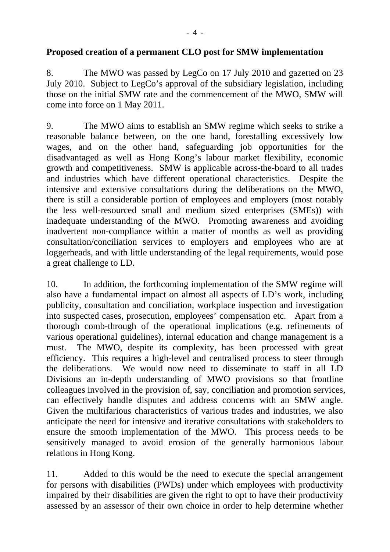## **Proposed creation of a permanent CLO post for SMW implementation**

8. The MWO was passed by LegCo on 17 July 2010 and gazetted on 23 July 2010. Subject to LegCo's approval of the subsidiary legislation, including those on the initial SMW rate and the commencement of the MWO, SMW will come into force on 1 May 2011.

9. The MWO aims to establish an SMW regime which seeks to strike a reasonable balance between, on the one hand, forestalling excessively low wages, and on the other hand, safeguarding job opportunities for the disadvantaged as well as Hong Kong's labour market flexibility, economic growth and competitiveness. SMW is applicable across-the-board to all trades and industries which have different operational characteristics. Despite the intensive and extensive consultations during the deliberations on the MWO, there is still a considerable portion of employees and employers (most notably the less well-resourced small and medium sized enterprises (SMEs)) with inadequate understanding of the MWO. Promoting awareness and avoiding inadvertent non-compliance within a matter of months as well as providing consultation/conciliation services to employers and employees who are at loggerheads, and with little understanding of the legal requirements, would pose a great challenge to LD.

10. In addition, the forthcoming implementation of the SMW regime will also have a fundamental impact on almost all aspects of LD's work, including publicity, consultation and conciliation, workplace inspection and investigation into suspected cases, prosecution, employees' compensation etc. Apart from a thorough comb-through of the operational implications (e.g. refinements of various operational guidelines), internal education and change management is a must. The MWO, despite its complexity, has been processed with great efficiency. This requires a high-level and centralised process to steer through the deliberations. We would now need to disseminate to staff in all LD Divisions an in-depth understanding of MWO provisions so that frontline colleagues involved in the provision of, say, conciliation and promotion services, can effectively handle disputes and address concerns with an SMW angle. Given the multifarious characteristics of various trades and industries, we also anticipate the need for intensive and iterative consultations with stakeholders to ensure the smooth implementation of the MWO. This process needs to be sensitively managed to avoid erosion of the generally harmonious labour relations in Hong Kong.

11. Added to this would be the need to execute the special arrangement for persons with disabilities (PWDs) under which employees with productivity impaired by their disabilities are given the right to opt to have their productivity assessed by an assessor of their own choice in order to help determine whether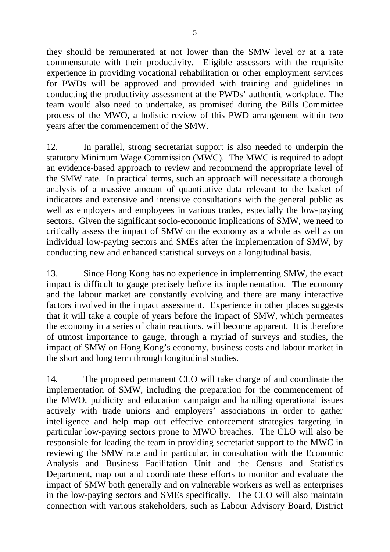they should be remunerated at not lower than the SMW level or at a rate commensurate with their productivity. Eligible assessors with the requisite experience in providing vocational rehabilitation or other employment services for PWDs will be approved and provided with training and guidelines in conducting the productivity assessment at the PWDs' authentic workplace. The team would also need to undertake, as promised during the Bills Committee process of the MWO, a holistic review of this PWD arrangement within two years after the commencement of the SMW.

12. In parallel, strong secretariat support is also needed to underpin the statutory Minimum Wage Commission (MWC). The MWC is required to adopt an evidence-based approach to review and recommend the appropriate level of the SMW rate. In practical terms, such an approach will necessitate a thorough analysis of a massive amount of quantitative data relevant to the basket of indicators and extensive and intensive consultations with the general public as well as employers and employees in various trades, especially the low-paying sectors. Given the significant socio-economic implications of SMW, we need to critically assess the impact of SMW on the economy as a whole as well as on individual low-paying sectors and SMEs after the implementation of SMW, by conducting new and enhanced statistical surveys on a longitudinal basis.

13. Since Hong Kong has no experience in implementing SMW, the exact impact is difficult to gauge precisely before its implementation. The economy and the labour market are constantly evolving and there are many interactive factors involved in the impact assessment. Experience in other places suggests that it will take a couple of years before the impact of SMW, which permeates the economy in a series of chain reactions, will become apparent. It is therefore of utmost importance to gauge, through a myriad of surveys and studies, the impact of SMW on Hong Kong's economy, business costs and labour market in the short and long term through longitudinal studies.

14. The proposed permanent CLO will take charge of and coordinate the implementation of SMW, including the preparation for the commencement of the MWO, publicity and education campaign and handling operational issues actively with trade unions and employers' associations in order to gather intelligence and help map out effective enforcement strategies targeting in particular low-paying sectors prone to MWO breaches. The CLO will also be responsible for leading the team in providing secretariat support to the MWC in reviewing the SMW rate and in particular, in consultation with the Economic Analysis and Business Facilitation Unit and the Census and Statistics Department, map out and coordinate these efforts to monitor and evaluate the impact of SMW both generally and on vulnerable workers as well as enterprises in the low-paying sectors and SMEs specifically. The CLO will also maintain connection with various stakeholders, such as Labour Advisory Board, District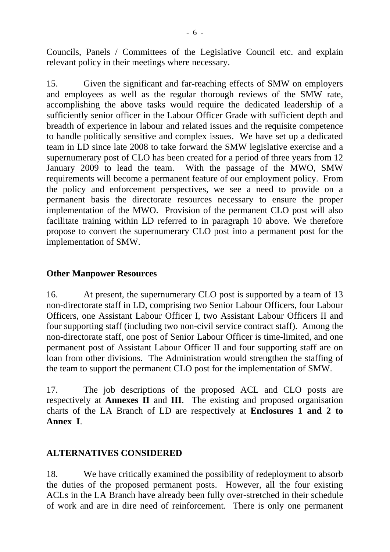Councils, Panels / Committees of the Legislative Council etc. and explain relevant policy in their meetings where necessary.

15. Given the significant and far-reaching effects of SMW on employers and employees as well as the regular thorough reviews of the SMW rate, accomplishing the above tasks would require the dedicated leadership of a sufficiently senior officer in the Labour Officer Grade with sufficient depth and breadth of experience in labour and related issues and the requisite competence to handle politically sensitive and complex issues. We have set up a dedicated team in LD since late 2008 to take forward the SMW legislative exercise and a supernumerary post of CLO has been created for a period of three years from 12 January 2009 to lead the team. With the passage of the MWO, SMW requirements will become a permanent feature of our employment policy. From the policy and enforcement perspectives, we see a need to provide on a permanent basis the directorate resources necessary to ensure the proper implementation of the MWO. Provision of the permanent CLO post will also facilitate training within LD referred to in paragraph 10 above. We therefore propose to convert the supernumerary CLO post into a permanent post for the implementation of SMW.

## **Other Manpower Resources**

16. At present, the supernumerary CLO post is supported by a team of 13 non-directorate staff in LD, comprising two Senior Labour Officers, four Labour Officers, one Assistant Labour Officer I, two Assistant Labour Officers II and four supporting staff (including two non-civil service contract staff). Among the non-directorate staff, one post of Senior Labour Officer is time-limited, and one permanent post of Assistant Labour Officer II and four supporting staff are on loan from other divisions. The Administration would strengthen the staffing of the team to support the permanent CLO post for the implementation of SMW.

17. The job descriptions of the proposed ACL and CLO posts are respectively at **Annexes II** and **III**. The existing and proposed organisation charts of the LA Branch of LD are respectively at **Enclosures 1 and 2 to Annex I**.

# **ALTERNATIVES CONSIDERED**

18. We have critically examined the possibility of redeployment to absorb the duties of the proposed permanent posts. However, all the four existing ACLs in the LA Branch have already been fully over-stretched in their schedule of work and are in dire need of reinforcement. There is only one permanent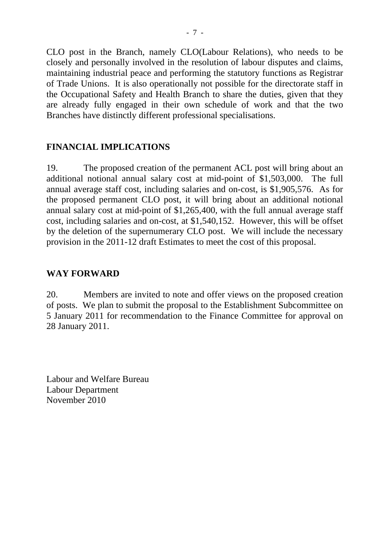CLO post in the Branch, namely CLO(Labour Relations), who needs to be closely and personally involved in the resolution of labour disputes and claims, maintaining industrial peace and performing the statutory functions as Registrar of Trade Unions. It is also operationally not possible for the directorate staff in the Occupational Safety and Health Branch to share the duties, given that they are already fully engaged in their own schedule of work and that the two Branches have distinctly different professional specialisations.

# **FINANCIAL IMPLICATIONS**

19. The proposed creation of the permanent ACL post will bring about an additional notional annual salary cost at mid-point of \$1,503,000. The full annual average staff cost, including salaries and on-cost, is \$1,905,576. As for the proposed permanent CLO post, it will bring about an additional notional annual salary cost at mid-point of \$1,265,400, with the full annual average staff cost, including salaries and on-cost, at \$1,540,152. However, this will be offset by the deletion of the supernumerary CLO post. We will include the necessary provision in the 2011-12 draft Estimates to meet the cost of this proposal.

## **WAY FORWARD**

20. Members are invited to note and offer views on the proposed creation of posts. We plan to submit the proposal to the Establishment Subcommittee on 5 January 2011 for recommendation to the Finance Committee for approval on 28 January 2011.

Labour and Welfare Bureau Labour Department November 2010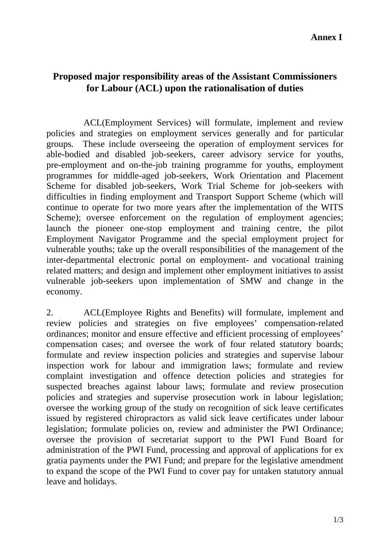# **Proposed major responsibility areas of the Assistant Commissioners for Labour (ACL) upon the rationalisation of duties**

ACL(Employment Services) will formulate, implement and review policies and strategies on employment services generally and for particular groups. These include overseeing the operation of employment services for able-bodied and disabled job-seekers, career advisory service for youths, pre-employment and on-the-job training programme for youths, employment programmes for middle-aged job-seekers, Work Orientation and Placement Scheme for disabled job-seekers, Work Trial Scheme for job-seekers with difficulties in finding employment and Transport Support Scheme (which will continue to operate for two more years after the implementation of the WITS Scheme); oversee enforcement on the regulation of employment agencies; launch the pioneer one-stop employment and training centre, the pilot Employment Navigator Programme and the special employment project for vulnerable youths; take up the overall responsibilities of the management of the inter-departmental electronic portal on employment- and vocational training related matters; and design and implement other employment initiatives to assist vulnerable job-seekers upon implementation of SMW and change in the economy.

2. ACL(Employee Rights and Benefits) will formulate, implement and review policies and strategies on five employees' compensation-related ordinances; monitor and ensure effective and efficient processing of employees' compensation cases; and oversee the work of four related statutory boards; formulate and review inspection policies and strategies and supervise labour inspection work for labour and immigration laws; formulate and review complaint investigation and offence detection policies and strategies for suspected breaches against labour laws; formulate and review prosecution policies and strategies and supervise prosecution work in labour legislation; oversee the working group of the study on recognition of sick leave certificates issued by registered chiropractors as valid sick leave certificates under labour legislation; formulate policies on, review and administer the PWI Ordinance; oversee the provision of secretariat support to the PWI Fund Board for administration of the PWI Fund, processing and approval of applications for ex gratia payments under the PWI Fund; and prepare for the legislative amendment to expand the scope of the PWI Fund to cover pay for untaken statutory annual leave and holidays.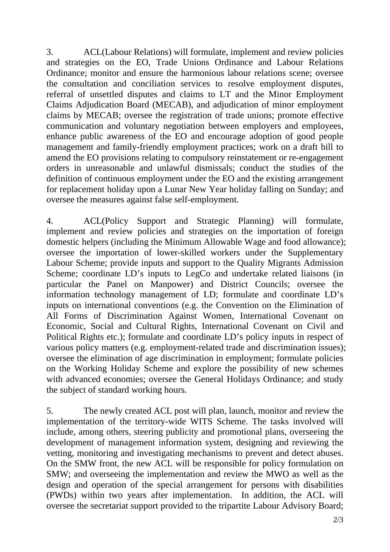3. ACL(Labour Relations) will formulate, implement and review policies and strategies on the EO, Trade Unions Ordinance and Labour Relations Ordinance; monitor and ensure the harmonious labour relations scene; oversee the consultation and conciliation services to resolve employment disputes, referral of unsettled disputes and claims to LT and the Minor Employment Claims Adjudication Board (MECAB), and adjudication of minor employment claims by MECAB; oversee the registration of trade unions; promote effective communication and voluntary negotiation between employers and employees, enhance public awareness of the EO and encourage adoption of good people management and family-friendly employment practices; work on a draft bill to amend the EO provisions relating to compulsory reinstatement or re-engagement orders in unreasonable and unlawful dismissals; conduct the studies of the definition of continuous employment under the EO and the existing arrangement for replacement holiday upon a Lunar New Year holiday falling on Sunday; and oversee the measures against false self-employment.

4. ACL(Policy Support and Strategic Planning) will formulate, implement and review policies and strategies on the importation of foreign domestic helpers (including the Minimum Allowable Wage and food allowance); oversee the importation of lower-skilled workers under the Supplementary Labour Scheme; provide inputs and support to the Quality Migrants Admission Scheme; coordinate LD's inputs to LegCo and undertake related liaisons (in particular the Panel on Manpower) and District Councils; oversee the information technology management of LD; formulate and coordinate LD's inputs on international conventions (e.g. the Convention on the Elimination of All Forms of Discrimination Against Women, International Covenant on Economic, Social and Cultural Rights, International Covenant on Civil and Political Rights etc.); formulate and coordinate LD's policy inputs in respect of various policy matters (e.g. employment-related trade and discrimination issues); oversee the elimination of age discrimination in employment; formulate policies on the Working Holiday Scheme and explore the possibility of new schemes with advanced economies; oversee the General Holidays Ordinance; and study the subject of standard working hours*.* 

5. The newly created ACL post will plan, launch, monitor and review the implementation of the territory-wide WITS Scheme. The tasks involved will include, among others, steering publicity and promotional plans, overseeing the development of management information system, designing and reviewing the vetting, monitoring and investigating mechanisms to prevent and detect abuses. On the SMW front, the new ACL will be responsible for policy formulation on SMW; and overseeing the implementation and review the MWO as well as the design and operation of the special arrangement for persons with disabilities (PWDs) within two years after implementation. In addition, the ACL will oversee the secretariat support provided to the tripartite Labour Advisory Board;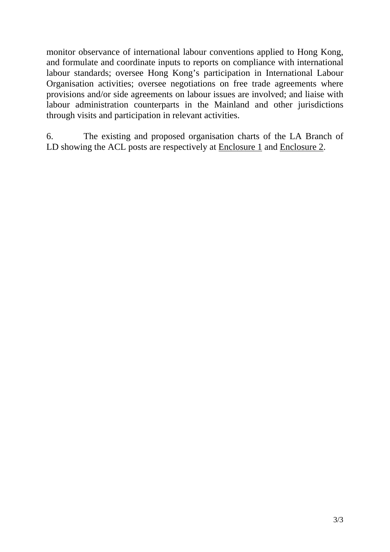monitor observance of international labour conventions applied to Hong Kong, and formulate and coordinate inputs to reports on compliance with international labour standards; oversee Hong Kong's participation in International Labour Organisation activities; oversee negotiations on free trade agreements where provisions and/or side agreements on labour issues are involved; and liaise with labour administration counterparts in the Mainland and other jurisdictions through visits and participation in relevant activities.

6. The existing and proposed organisation charts of the LA Branch of LD showing the ACL posts are respectively at Enclosure 1 and Enclosure 2.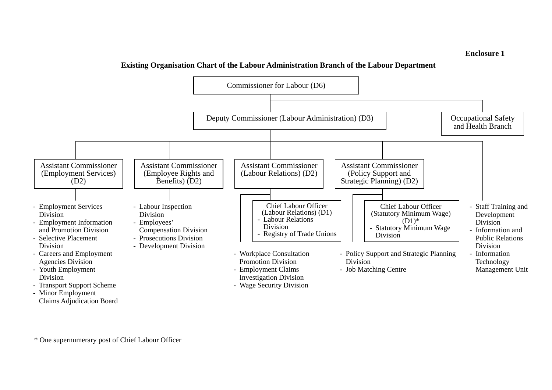#### **Enclosure 1**

### **Existing Organisation Chart of the Labour Administration Branch of the Labour Department**



Claims Adjudication Board

\* One supernumerary post of Chief Labour Officer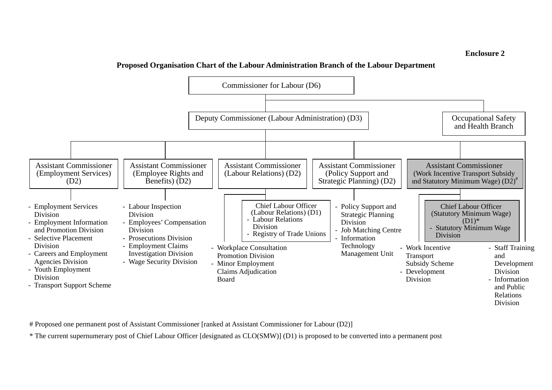#### **Enclosure 2**

#### **Proposed Organisation Chart of the Labour Administration Branch of the Labour Department**



# Proposed one permanent post of Assistant Commissioner [ranked at Assistant Commissioner for Labour (D2)]

\* The current supernumerary post of Chief Labour Officer [designated as CLO(SMW)] (D1) is proposed to be converted into a permanent post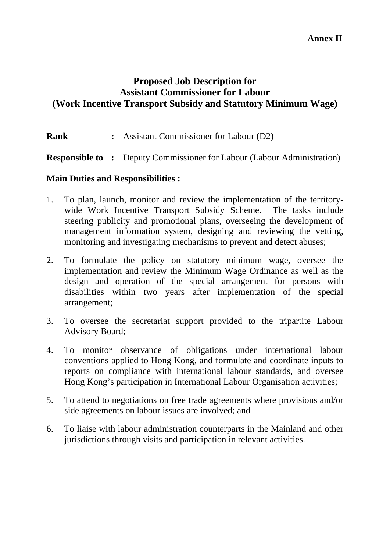# **Proposed Job Description for Assistant Commissioner for Labour (Work Incentive Transport Subsidy and Statutory Minimum Wage)**

**Rank :** Assistant Commissioner for Labour (D2)

**Responsible to :** Deputy Commissioner for Labour (Labour Administration)

### **Main Duties and Responsibilities :**

- 1. To plan, launch, monitor and review the implementation of the territorywide Work Incentive Transport Subsidy Scheme. The tasks include steering publicity and promotional plans, overseeing the development of management information system, designing and reviewing the vetting, monitoring and investigating mechanisms to prevent and detect abuses;
- 2. To formulate the policy on statutory minimum wage, oversee the implementation and review the Minimum Wage Ordinance as well as the design and operation of the special arrangement for persons with disabilities within two years after implementation of the special arrangement;
- 3. To oversee the secretariat support provided to the tripartite Labour Advisory Board;
- 4. To monitor observance of obligations under international labour conventions applied to Hong Kong, and formulate and coordinate inputs to reports on compliance with international labour standards, and oversee Hong Kong's participation in International Labour Organisation activities;
- 5. To attend to negotiations on free trade agreements where provisions and/or side agreements on labour issues are involved; and
- 6. To liaise with labour administration counterparts in the Mainland and other jurisdictions through visits and participation in relevant activities.